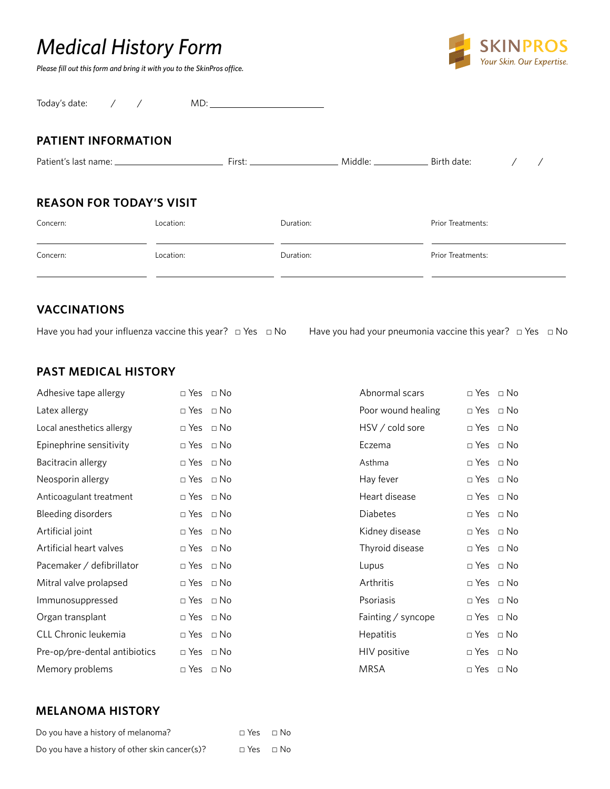# *Medical History Form*

*Please fill out this form and bring it with you to the SkinPros office.*



Today's date: / / MD:

#### **PATIENT INFORMATION**

| Patient's last name: ____       |           | First:    | Middle: | Birth date:       |  |
|---------------------------------|-----------|-----------|---------|-------------------|--|
| <b>REASON FOR TODAY'S VISIT</b> |           |           |         |                   |  |
| Concern:                        | Location: | Duration: |         | Prior Treatments: |  |

| Concern: | Location: | Duration: | Prior Treatments: |
|----------|-----------|-----------|-------------------|

# **VACCINATIONS**

Have you had your influenza vaccine this year? □ Yes □ No Have you had your pneumonia vaccine this year? □ Yes □ No

#### **PAST MEDICAL HISTORY**

|           | Abnormal scars                                                                                                                                                                                                                                                                                                                                                                                   | $\Box$ Yes $\Box$ No |  |
|-----------|--------------------------------------------------------------------------------------------------------------------------------------------------------------------------------------------------------------------------------------------------------------------------------------------------------------------------------------------------------------------------------------------------|----------------------|--|
|           | Poor wound healing                                                                                                                                                                                                                                                                                                                                                                               | $\Box$ Yes $\Box$ No |  |
|           | HSV / cold sore                                                                                                                                                                                                                                                                                                                                                                                  | $\Box$ Yes $\Box$ No |  |
|           | Eczema                                                                                                                                                                                                                                                                                                                                                                                           | $\Box$ Yes $\Box$ No |  |
|           | Asthma                                                                                                                                                                                                                                                                                                                                                                                           | $\Box$ Yes $\Box$ No |  |
|           | Hay fever                                                                                                                                                                                                                                                                                                                                                                                        | $\Box$ Yes $\Box$ No |  |
|           | Heart disease                                                                                                                                                                                                                                                                                                                                                                                    | $\Box$ Yes $\Box$ No |  |
| $\Box$ No | <b>Diabetes</b>                                                                                                                                                                                                                                                                                                                                                                                  | $\Box$ Yes $\Box$ No |  |
|           | Kidney disease                                                                                                                                                                                                                                                                                                                                                                                   | $\Box$ Yes $\Box$ No |  |
|           | Thyroid disease                                                                                                                                                                                                                                                                                                                                                                                  | $\Box$ Yes $\Box$ No |  |
|           | Lupus                                                                                                                                                                                                                                                                                                                                                                                            | $\Box$ Yes $\Box$ No |  |
|           | Arthritis                                                                                                                                                                                                                                                                                                                                                                                        | $\Box$ Yes $\Box$ No |  |
|           | Psoriasis                                                                                                                                                                                                                                                                                                                                                                                        | $\Box$ Yes $\Box$ No |  |
|           | Fainting / syncope                                                                                                                                                                                                                                                                                                                                                                               | $\Box$ Yes $\Box$ No |  |
|           | Hepatitis                                                                                                                                                                                                                                                                                                                                                                                        | $\Box$ Yes $\Box$ No |  |
|           | HIV positive                                                                                                                                                                                                                                                                                                                                                                                     | $\Box$ Yes $\Box$ No |  |
| $\Box$ No | <b>MRSA</b>                                                                                                                                                                                                                                                                                                                                                                                      | $\Box$ Yes $\Box$ No |  |
|           | $\Box$ Yes $\Box$ No<br>$\Box$ Yes $\Box$ No<br>$\Box$ Yes $\Box$ No<br>$\Box$ Yes $\Box$ No<br>$\Box$ Yes $\Box$ No<br>$\Box$ Yes $\Box$ No<br>$\Box$ Yes $\Box$ No<br>$\Box$ Yes<br>$\Box$ Yes $\Box$ No<br>$\Box$ Yes $\Box$ No<br>$\Box$ Yes $\Box$ No<br>$\Box$ Yes $\Box$ No<br>$\Box$ Yes $\Box$ No<br>$\Box$ Yes $\Box$ No<br>$\Box$ Yes $\Box$ No<br>$\Box$ Yes $\Box$ No<br>$\Box$ Yes |                      |  |

| Abnormal scars     | $\sqcap$ Yes | ⊓ No        |
|--------------------|--------------|-------------|
| Poor wound healing | ⊓ Yes        | ⊓ No        |
| HSV / cold sore    | $\sqcap$ Yes | ⊓ No        |
| Eczema             | $\sqcap$ Yes | ⊓ No        |
| Asthma             | $\sqcap$ Yes | ⊓ No        |
| Hay fever          | $\sqcap$ Yes | ⊓ No        |
| Heart disease      | $\sqcap$ Yes | ⊓ No        |
| Diabetes           | $\sqcap$ Yes | ⊓ No        |
| Kidney disease     | $\sqcap$ Yes | ⊓ No        |
| Thyroid disease    | ⊓ Yes        | ⊓ No        |
| Lupus              | $\sqcap$ Yes | ⊓ No        |
| Arthritis          | $\sqcap$ Yes | ⊓ No        |
| Psoriasis          | $\sqcap$ Yes | ⊓ No        |
| Fainting / syncope | $\Box$ Yes   | $\sqcap$ No |
| Hepatitis          | ⊓ Yes        | ⊓ No        |
| HIV positive       | ⊓ Yes        | ⊓ No        |
| MRSA               | $\sqcap$ Yes | $\Box$ No   |

#### **MELANOMA HISTORY**

| Do you have a history of melanoma?             | $\Box$ Yes $\Box$ No |  |
|------------------------------------------------|----------------------|--|
| Do you have a history of other skin cancer(s)? | $\Box$ Yes $\Box$ No |  |